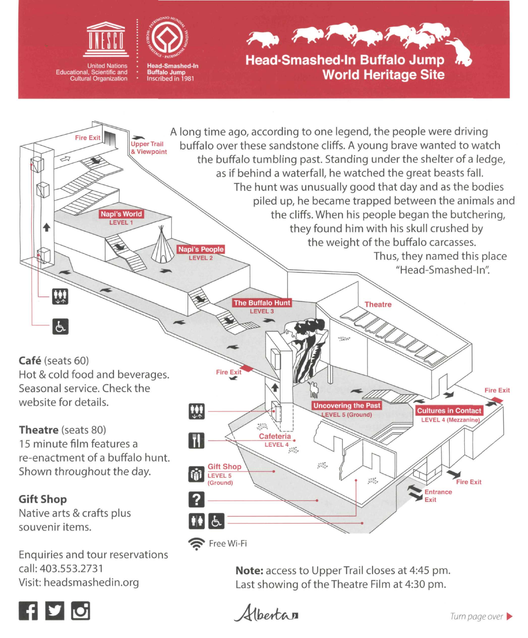

**United Nations** Educational, Scientific and Cultural Organization

Visit: [headsmashedin.org](http://headsmashedin.org)

 $\mathbf{F}$   $\mathbf{v}$  of



**Head-Smashed-ln Buffalo Jump World Heritage Site** 



**Note:** access to UpperTrail closes at 4:45 pm. Last showing of the Theatre Film at 4:30 pm.